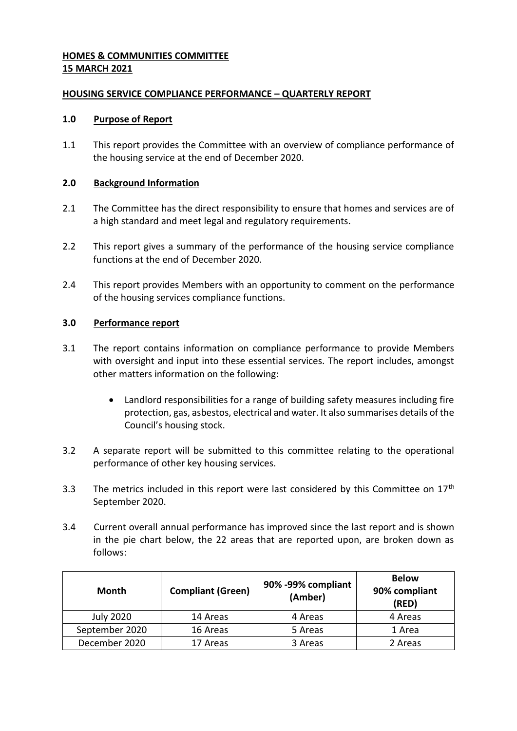## **HOMES & COMMUNITIES COMMITTEE 15 MARCH 2021**

## **HOUSING SERVICE COMPLIANCE PERFORMANCE – QUARTERLY REPORT**

### **1.0 Purpose of Report**

1.1 This report provides the Committee with an overview of compliance performance of the housing service at the end of December 2020.

## **2.0 Background Information**

- 2.1 The Committee has the direct responsibility to ensure that homes and services are of a high standard and meet legal and regulatory requirements.
- 2.2 This report gives a summary of the performance of the housing service compliance functions at the end of December 2020.
- 2.4 This report provides Members with an opportunity to comment on the performance of the housing services compliance functions.

# **3.0 Performance report**

- 3.1 The report contains information on compliance performance to provide Members with oversight and input into these essential services. The report includes, amongst other matters information on the following:
	- Landlord responsibilities for a range of building safety measures including fire protection, gas, asbestos, electrical and water. It also summarises details of the Council's housing stock.
- 3.2 A separate report will be submitted to this committee relating to the operational performance of other key housing services.
- 3.3 The metrics included in this report were last considered by this Committee on  $17<sup>th</sup>$ September 2020.
- 3.4 Current overall annual performance has improved since the last report and is shown in the pie chart below, the 22 areas that are reported upon, are broken down as follows:

| Month            | <b>Compliant (Green)</b> | 90% -99% compliant<br>(Amber) | <b>Below</b><br>90% compliant<br>(RED) |
|------------------|--------------------------|-------------------------------|----------------------------------------|
| <b>July 2020</b> | 14 Areas                 | 4 Areas                       | 4 Areas                                |
| September 2020   | 16 Areas                 | 5 Areas                       | 1 Area                                 |
| December 2020    | 17 Areas                 | 3 Areas                       | 2 Areas                                |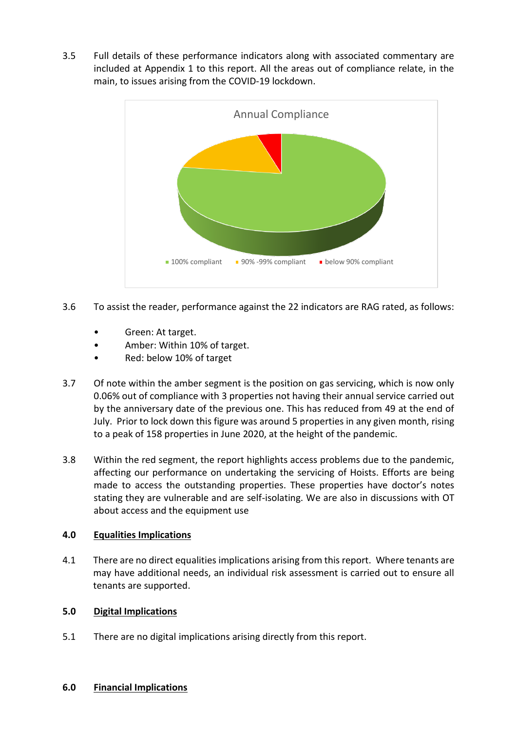3.5 Full details of these performance indicators along with associated commentary are included at Appendix 1 to this report. All the areas out of compliance relate, in the main, to issues arising from the COVID-19 lockdown.



- 3.6 To assist the reader, performance against the 22 indicators are RAG rated, as follows:
	- Green: At target.
	- Amber: Within 10% of target.
	- Red: below 10% of target
- 3.7 Of note within the amber segment is the position on gas servicing, which is now only 0.06% out of compliance with 3 properties not having their annual service carried out by the anniversary date of the previous one. This has reduced from 49 at the end of July. Prior to lock down this figure was around 5 properties in any given month, rising to a peak of 158 properties in June 2020, at the height of the pandemic.
- 3.8 Within the red segment, the report highlights access problems due to the pandemic, affecting our performance on undertaking the servicing of Hoists. Efforts are being made to access the outstanding properties. These properties have doctor's notes stating they are vulnerable and are self-isolating. We are also in discussions with OT about access and the equipment use

### **4.0 Equalities Implications**

4.1 There are no direct equalities implications arising from this report. Where tenants are may have additional needs, an individual risk assessment is carried out to ensure all tenants are supported.

### **5.0 Digital Implications**

5.1 There are no digital implications arising directly from this report.

### **6.0 Financial Implications**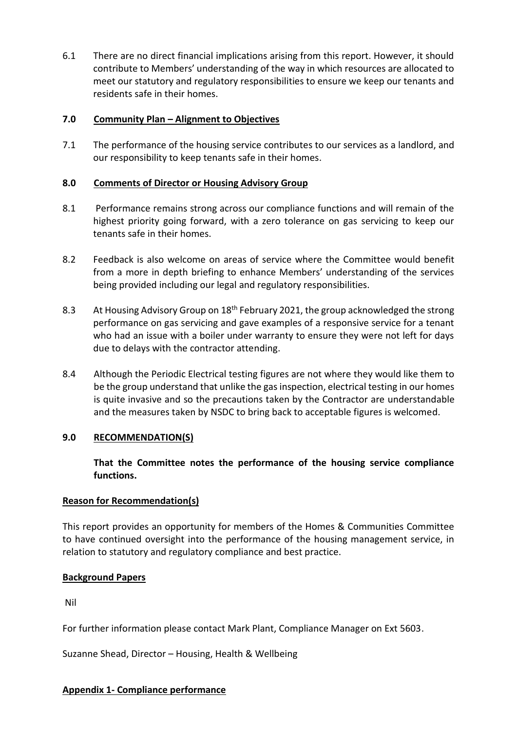6.1 There are no direct financial implications arising from this report. However, it should contribute to Members' understanding of the way in which resources are allocated to meet our statutory and regulatory responsibilities to ensure we keep our tenants and residents safe in their homes.

## **7.0 Community Plan – Alignment to Objectives**

7.1 The performance of the housing service contributes to our services as a landlord, and our responsibility to keep tenants safe in their homes.

## **8.0 Comments of Director or Housing Advisory Group**

- 8.1 Performance remains strong across our compliance functions and will remain of the highest priority going forward, with a zero tolerance on gas servicing to keep our tenants safe in their homes.
- 8.2 Feedback is also welcome on areas of service where the Committee would benefit from a more in depth briefing to enhance Members' understanding of the services being provided including our legal and regulatory responsibilities.
- 8.3 At Housing Advisory Group on 18<sup>th</sup> February 2021, the group acknowledged the strong performance on gas servicing and gave examples of a responsive service for a tenant who had an issue with a boiler under warranty to ensure they were not left for days due to delays with the contractor attending.
- 8.4 Although the Periodic Electrical testing figures are not where they would like them to be the group understand that unlike the gas inspection, electrical testing in our homes is quite invasive and so the precautions taken by the Contractor are understandable and the measures taken by NSDC to bring back to acceptable figures is welcomed.

# **9.0 RECOMMENDATION(S)**

**That the Committee notes the performance of the housing service compliance functions.**

### **Reason for Recommendation(s)**

This report provides an opportunity for members of the Homes & Communities Committee to have continued oversight into the performance of the housing management service, in relation to statutory and regulatory compliance and best practice.

### **Background Papers**

Nil

For further information please contact Mark Plant, Compliance Manager on Ext 5603.

Suzanne Shead, Director – Housing, Health & Wellbeing

### **Appendix 1- Compliance performance**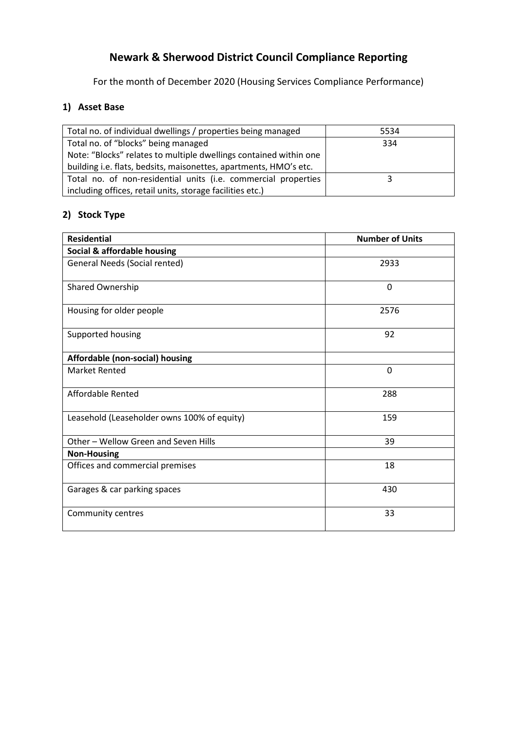# **Newark & Sherwood District Council Compliance Reporting**

For the month of December 2020 (Housing Services Compliance Performance)

# **1) Asset Base**

| Total no. of individual dwellings / properties being managed      | 5534 |
|-------------------------------------------------------------------|------|
| Total no. of "blocks" being managed                               | 334  |
| Note: "Blocks" relates to multiple dwellings contained within one |      |
| building i.e. flats, bedsits, maisonettes, apartments, HMO's etc. |      |
| Total no. of non-residential units (i.e. commercial properties    |      |
| including offices, retail units, storage facilities etc.)         |      |

# **2) Stock Type**

| <b>Residential</b>                          | <b>Number of Units</b> |
|---------------------------------------------|------------------------|
| Social & affordable housing                 |                        |
| General Needs (Social rented)               | 2933                   |
| Shared Ownership                            | $\mathbf 0$            |
| Housing for older people                    | 2576                   |
| Supported housing                           | 92                     |
| Affordable (non-social) housing             |                        |
| <b>Market Rented</b>                        | $\overline{0}$         |
| Affordable Rented                           | 288                    |
| Leasehold (Leaseholder owns 100% of equity) | 159                    |
| Other - Wellow Green and Seven Hills        | 39                     |
| <b>Non-Housing</b>                          |                        |
| Offices and commercial premises             | 18                     |
| Garages & car parking spaces                | 430                    |
| Community centres                           | 33                     |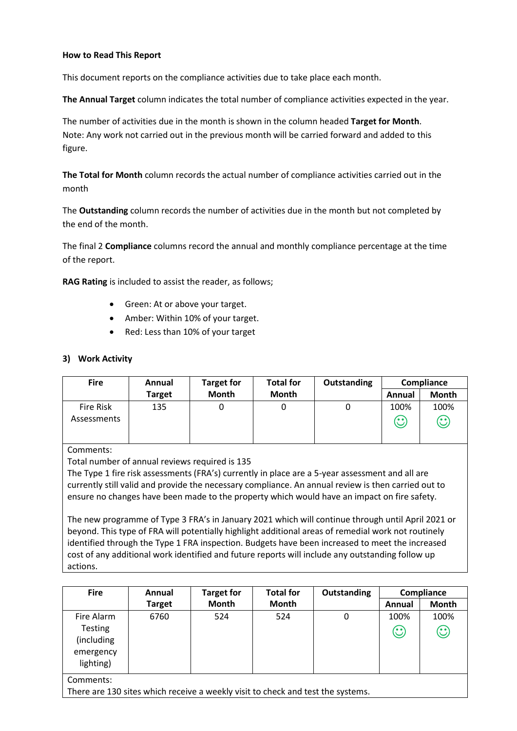### **How to Read This Report**

This document reports on the compliance activities due to take place each month.

**The Annual Target** column indicates the total number of compliance activities expected in the year.

The number of activities due in the month is shown in the column headed **Target for Month**. Note: Any work not carried out in the previous month will be carried forward and added to this figure.

**The Total for Month** column records the actual number of compliance activities carried out in the month

The **Outstanding** column records the number of activities due in the month but not completed by the end of the month.

The final 2 **Compliance** columns record the annual and monthly compliance percentage at the time of the report.

**RAG Rating** is included to assist the reader, as follows;

- Green: At or above your target.
- Amber: Within 10% of your target.
- Red: Less than 10% of your target

### **3) Work Activity**

| <b>Fire</b>              | Annual        | <b>Target for</b> | <b>Total for</b> | Outstanding | Compliance           |                                         |
|--------------------------|---------------|-------------------|------------------|-------------|----------------------|-----------------------------------------|
|                          | <b>Target</b> | <b>Month</b>      | <b>Month</b>     |             | Annual               | Month                                   |
| Fire Risk<br>Assessments | 135           |                   |                  |             | 100%<br>$\mathbb{C}$ | 100%<br>$\mathbf{\widehat{\mathbb{C}}}$ |

Comments:

Total number of annual reviews required is 135

The Type 1 fire risk assessments (FRA's) currently in place are a 5-year assessment and all are currently still valid and provide the necessary compliance. An annual review is then carried out to ensure no changes have been made to the property which would have an impact on fire safety.

The new programme of Type 3 FRA's in January 2021 which will continue through until April 2021 or beyond. This type of FRA will potentially highlight additional areas of remedial work not routinely identified through the Type 1 FRA inspection. Budgets have been increased to meet the increased cost of any additional work identified and future reports will include any outstanding follow up actions.

| <b>Fire</b>    | Annual        | <b>Target for</b> | <b>Total for</b> | Outstanding |         | Compliance            |
|----------------|---------------|-------------------|------------------|-------------|---------|-----------------------|
|                | <b>Target</b> | <b>Month</b>      | Month            |             | Annual  | Month                 |
| Fire Alarm     | 6760          | 524               | 524              | 0           | 100%    | 100%                  |
| <b>Testing</b> |               |                   |                  |             | $\odot$ | $\mathbf{\copyright}$ |
| (including     |               |                   |                  |             |         |                       |
| emergency      |               |                   |                  |             |         |                       |
| lighting)      |               |                   |                  |             |         |                       |
| Comments:      |               |                   |                  |             |         |                       |

There are 130 sites which receive a weekly visit to check and test the systems.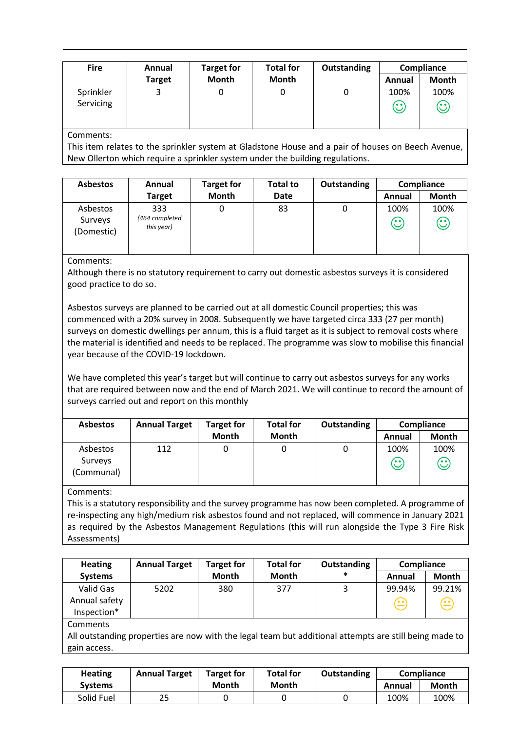| <b>Fire</b>            | Annual        | <b>Target for</b> | <b>Total for</b> | Outstanding |                      | Compliance                      |
|------------------------|---------------|-------------------|------------------|-------------|----------------------|---------------------------------|
|                        | <b>Target</b> | <b>Month</b>      | <b>Month</b>     |             | Annual               | Month                           |
| Sprinkler<br>Servicing | 3             |                   | 0                |             | 100%<br>$\mathbb{C}$ | 100%<br>$\mathbb{C}% _{0}^{2d}$ |

### Comments:

This item relates to the sprinkler system at Gladstone House and a pair of houses on Beech Avenue, New Ollerton which require a sprinkler system under the building regulations.

| <b>Asbestos</b>                   | Annual                              | <b>Target for</b> | <b>Total to</b> | <b>Outstanding</b> | Compliance      |                      |
|-----------------------------------|-------------------------------------|-------------------|-----------------|--------------------|-----------------|----------------------|
|                                   | <b>Target</b>                       | <b>Month</b>      | <b>Date</b>     |                    | Annual          | <b>Month</b>         |
| Asbestos<br>Surveys<br>(Domestic) | 333<br>(464 completed<br>this year) |                   | 83              | 0                  | 100%<br>$\odot$ | 100%<br>$\mathbb{C}$ |

### Comments:

Although there is no statutory requirement to carry out domestic asbestos surveys it is considered good practice to do so.

Asbestos surveys are planned to be carried out at all domestic Council properties; this was commenced with a 20% survey in 2008. Subsequently we have targeted circa 333 (27 per month) surveys on domestic dwellings per annum, this is a fluid target as it is subject to removal costs where the material is identified and needs to be replaced. The programme was slow to mobilise this financial year because of the COVID-19 lockdown.

We have completed this year's target but will continue to carry out asbestos surveys for any works that are required between now and the end of March 2021. We will continue to record the amount of surveys carried out and report on this monthly

| <b>Asbestos</b>                   | <b>Annual Target</b> | <b>Target for</b> | <b>Total for</b> | Outstanding |                   | Compliance           |
|-----------------------------------|----------------------|-------------------|------------------|-------------|-------------------|----------------------|
|                                   |                      | <b>Month</b>      | <b>Month</b>     |             | Annual            | Month                |
| Asbestos<br>Surveys<br>(Communal) | 112                  |                   |                  |             | 100%<br><b>65</b> | 100%<br><b></b><br>ש |

### Comments:

This is a statutory responsibility and the survey programme has now been completed. A programme of re-inspecting any high/medium risk asbestos found and not replaced, will commence in January 2021 as required by the Asbestos Management Regulations (this will run alongside the Type 3 Fire Risk Assessments)

| <b>Heating</b>  | <b>Annual Target</b> | <b>Target for</b> | <b>Total for</b> | <b>Outstanding</b> | Compliance  |              |
|-----------------|----------------------|-------------------|------------------|--------------------|-------------|--------------|
| <b>Systems</b>  |                      | Month             | <b>Month</b>     | *                  | Annual      | <b>Month</b> |
| Valid Gas       | 5202                 | 380               | 377              | 3                  | 99.94%      | 99.21%       |
| Annual safety   |                      |                   |                  |                    | $\bigoplus$ | $\bigoplus$  |
| Inspection*     |                      |                   |                  |                    |             |              |
| <b>Comments</b> |                      |                   |                  |                    |             |              |

All outstanding properties are now with the legal team but additional attempts are still being made to gain access.

| <b>Heating</b> | <b>Annual Target</b> | <b>Target for</b> | <b>Total for</b> | Outstanding |        | <b>Compliance</b> |
|----------------|----------------------|-------------------|------------------|-------------|--------|-------------------|
| <b>Systems</b> |                      | Month             | Month            |             | Annual | Month             |
| Solid Fuel     | 25                   |                   |                  |             | 100%   | 100%              |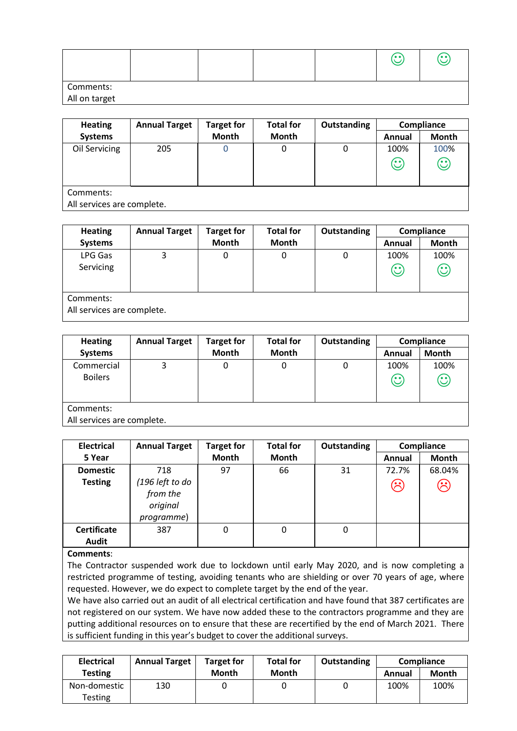|           |  |  | 7. <u>.</u> | ه ه / |
|-----------|--|--|-------------|-------|
| Comments: |  |  |             |       |

### All on target

| <b>Heating</b>                  | <b>Annual Target</b> | <b>Target for</b> | <b>Total for</b> | Outstanding | Compliance      |                 |
|---------------------------------|----------------------|-------------------|------------------|-------------|-----------------|-----------------|
| <b>Systems</b>                  |                      | <b>Month</b>      | Month            |             | Annual          | <b>Month</b>    |
| Oil Servicing                   | 205                  | 0                 | 0                | 0           | 100%<br>$\odot$ | 100%<br>$\odot$ |
| Comments:<br>$\sim$ 11 $\sim$ 1 | $\blacksquare$       |                   |                  |             |                 |                 |

All services are complete.

| <b>Heating</b>             | <b>Annual Target</b> | <b>Target for</b> | <b>Total for</b> | <b>Outstanding</b> |                    | Compliance |
|----------------------------|----------------------|-------------------|------------------|--------------------|--------------------|------------|
| <b>Systems</b>             |                      | <b>Month</b>      | Month            |                    | Annual             | Month      |
| LPG Gas                    | 3                    | 0                 | 0                | 0                  | 100%               | 100%       |
| Servicing                  |                      |                   |                  |                    | $\mathbf{\hat{C}}$ | $\odot$    |
|                            |                      |                   |                  |                    |                    |            |
| Comments:                  |                      |                   |                  |                    |                    |            |
| All services are complete. |                      |                   |                  |                    |                    |            |

| <b>Heating</b> | <b>Annual Target</b>       | <b>Target for</b> | <b>Total for</b> | <b>Outstanding</b> |         | Compliance   |  |  |  |
|----------------|----------------------------|-------------------|------------------|--------------------|---------|--------------|--|--|--|
| <b>Systems</b> |                            | <b>Month</b>      | Month            |                    | Annual  | <b>Month</b> |  |  |  |
| Commercial     | っ                          | 0                 | 0                | 0                  | 100%    | 100%         |  |  |  |
| <b>Boilers</b> |                            |                   |                  |                    | $\odot$ | $\odot$      |  |  |  |
|                |                            |                   |                  |                    |         |              |  |  |  |
| Comments:      |                            |                   |                  |                    |         |              |  |  |  |
|                | All services are complete. |                   |                  |                    |         |              |  |  |  |

| <b>Electrical</b>  | <b>Annual Target</b>                                  | <b>Target for</b> | <b>Total for</b> | Outstanding |                     | Compliance |
|--------------------|-------------------------------------------------------|-------------------|------------------|-------------|---------------------|------------|
| 5 Year             |                                                       | <b>Month</b>      | Month            |             | Annual              | Month      |
| <b>Domestic</b>    | 718                                                   | 97                | 66               | 31          | 72.7%               | 68.04%     |
| <b>Testing</b>     | (196 left to do<br>from the<br>original<br>programme) |                   |                  |             | $\hat{\mathcal{C}}$ | $\odot$    |
| <b>Certificate</b> | 387                                                   | $\Omega$          | 0                | 0           |                     |            |
| <b>Audit</b>       |                                                       |                   |                  |             |                     |            |

### **Comments**:

The Contractor suspended work due to lockdown until early May 2020, and is now completing a restricted programme of testing, avoiding tenants who are shielding or over 70 years of age, where requested. However, we do expect to complete target by the end of the year.

We have also carried out an audit of all electrical certification and have found that 387 certificates are not registered on our system. We have now added these to the contractors programme and they are putting additional resources on to ensure that these are recertified by the end of March 2021. There is sufficient funding in this year's budget to cover the additional surveys.

| <b>Electrical</b> | <b>Annual Target</b> | <b>Target for</b> | <b>Total for</b> | Outstanding | Compliance |       |
|-------------------|----------------------|-------------------|------------------|-------------|------------|-------|
| <b>Testing</b>    |                      | Month             | Month            |             | Annual     | Month |
| Non-domestic      | 130                  |                   |                  |             | 100%       | 100%  |
| Testing           |                      |                   |                  |             |            |       |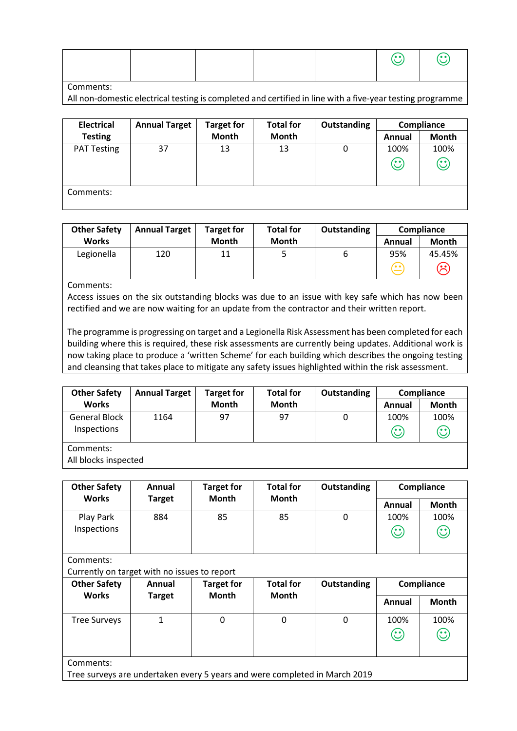|  |  |  |  |  |  | $\odot$ 0 |
|--|--|--|--|--|--|-----------|
|--|--|--|--|--|--|-----------|

#### Comments:

All non-domestic electrical testing is completed and certified in line with a five-year testing programme

| <b>Electrical</b>  | <b>Annual Target</b> | <b>Target for</b> | <b>Total for</b> | Outstanding |                 | Compliance           |
|--------------------|----------------------|-------------------|------------------|-------------|-----------------|----------------------|
| <b>Testing</b>     |                      | <b>Month</b>      | <b>Month</b>     |             | Annual          | <b>Month</b>         |
| <b>PAT Testing</b> | 37                   | 13                | 13               | 0           | 100%<br>$\odot$ | 100%<br>$\mathbb{C}$ |
| Comments:          |                      |                   |                  |             |                 |                      |

| <b>Other Safety</b> | <b>Annual Target</b> | <b>Target for</b> | <b>Total for</b> | Outstanding | Compliance |                |
|---------------------|----------------------|-------------------|------------------|-------------|------------|----------------|
| <b>Works</b>        |                      | <b>Month</b>      | Month            |             | Annual     | <b>Month</b>   |
| Legionella          | 120                  | 11                |                  | ь           | 95%        | 45.45%         |
|                     |                      |                   |                  |             | (• •`      | $\mathfrak{S}$ |

Comments:

Access issues on the six outstanding blocks was due to an issue with key safe which has now been rectified and we are now waiting for an update from the contractor and their written report.

The programme is progressing on target and a Legionella Risk Assessment has been completed for each building where this is required, these risk assessments are currently being updates. Additional work is now taking place to produce a 'written Scheme' for each building which describes the ongoing testing and cleansing that takes place to mitigate any safety issues highlighted within the risk assessment.

| <b>Other Safety</b>          | <b>Annual Target</b> | <b>Target for</b> | <b>Total for</b> | Outstanding | Compliance      |                                 |
|------------------------------|----------------------|-------------------|------------------|-------------|-----------------|---------------------------------|
| <b>Works</b>                 |                      | <b>Month</b>      | <b>Month</b>     |             | Annual          | <b>Month</b>                    |
| General Block<br>Inspections | 1164                 | 97                | 97               | 0           | 100%<br>$\odot$ | 100%<br>$\mathbb{C}% _{0}^{2d}$ |
| Comments:                    |                      |                   |                  |             |                 |                                 |

All blocks inspected

| <b>Other Safety</b>                                                                     | Annual        | <b>Target for</b> | <b>Total for</b><br>Outstanding<br><b>Month</b> |              | Compliance                                       |                 |  |  |
|-----------------------------------------------------------------------------------------|---------------|-------------------|-------------------------------------------------|--------------|--------------------------------------------------|-----------------|--|--|
| <b>Works</b>                                                                            | <b>Target</b> | <b>Month</b>      |                                                 |              | Annual                                           | <b>Month</b>    |  |  |
| Play Park<br>Inspections                                                                | 884           | 85                | 85                                              | $\mathbf{0}$ | 100%<br>$\mathbf{\large \text{(}}\cdot \text{)}$ | 100%<br>$\odot$ |  |  |
| Comments:<br>Currently on target with no issues to report                               |               |                   |                                                 |              |                                                  |                 |  |  |
| <b>Other Safety</b>                                                                     | Annual        | <b>Target for</b> | <b>Total for</b>                                | Outstanding  |                                                  | Compliance      |  |  |
| <b>Works</b>                                                                            | Target        | <b>Month</b>      | Month                                           |              | Annual                                           | <b>Month</b>    |  |  |
| <b>Tree Surveys</b>                                                                     | 1             | $\Omega$          | $\Omega$                                        | $\Omega$     | 100%<br>$\odot$                                  | 100%<br>$\odot$ |  |  |
| Comments:<br>Tree surveys are undertaken every 5 years and were completed in March 2019 |               |                   |                                                 |              |                                                  |                 |  |  |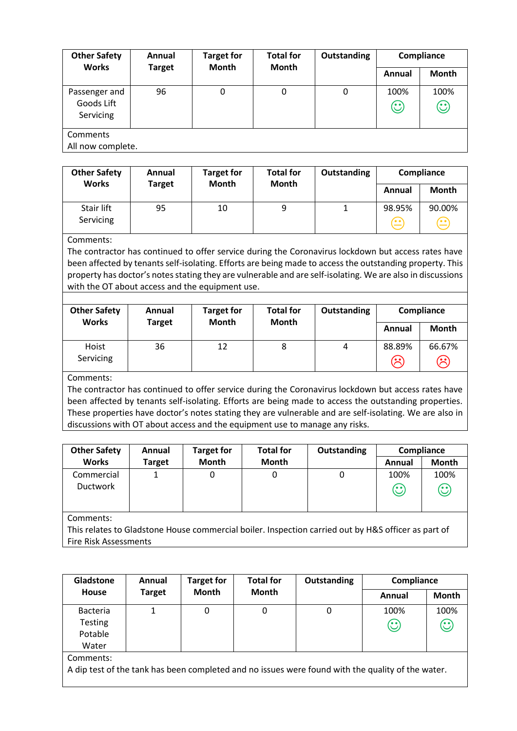| <b>Other Safety</b>                      | Annual        | <b>Target for</b> | <b>Total for</b> | Outstanding | Compliance      |                 |
|------------------------------------------|---------------|-------------------|------------------|-------------|-----------------|-----------------|
| <b>Works</b>                             | <b>Target</b> | <b>Month</b>      | <b>Month</b>     |             | Annual          | <b>Month</b>    |
| Passenger and<br>Goods Lift<br>Servicing | 96            | 0                 | 0                | 0           | 100%<br>$\odot$ | 100%<br>$\odot$ |
| Comments<br>All now complete.            |               |                   |                  |             |                 |                 |

| <b>Other Safety</b><br><b>Works</b> | Annual        | <b>Target for</b><br><b>Month</b> | <b>Total for</b><br><b>Month</b> | Outstanding |                                  | Compliance   |
|-------------------------------------|---------------|-----------------------------------|----------------------------------|-------------|----------------------------------|--------------|
|                                     | <b>Target</b> |                                   |                                  |             | Annual                           | <b>Month</b> |
| Stair lift<br>Servicing             | 95            | 10                                | 9                                |             | 98.95%<br>$\left( \cdot \right)$ | 90.00%<br>≌  |

### Comments:

The contractor has continued to offer service during the Coronavirus lockdown but access rates have been affected by tenants self-isolating. Efforts are being made to access the outstanding property. This property has doctor's notes stating they are vulnerable and are self-isolating. We are also in discussions with the OT about access and the equipment use.

| <b>Other Safety</b><br><b>Works</b> | Annual<br><b>Target</b> | <b>Target for</b><br>Month | <b>Total for</b><br><b>Month</b> | Outstanding |                                    | Compliance               |
|-------------------------------------|-------------------------|----------------------------|----------------------------------|-------------|------------------------------------|--------------------------|
|                                     |                         |                            |                                  |             | Annual                             | Month                    |
| Hoist<br>Servicing                  | 36                      | 12                         | 8                                | 4           | 88.89%<br>$(\hat{\mathord{\sim}})$ | 66.67%<br>$\mathfrak{S}$ |

Comments:

The contractor has continued to offer service during the Coronavirus lockdown but access rates have been affected by tenants self-isolating. Efforts are being made to access the outstanding properties. These properties have doctor's notes stating they are vulnerable and are self-isolating. We are also in discussions with OT about access and the equipment use to manage any risks.

| <b>Other Safety</b>                                                                                 | Annual        | <b>Target for</b> | <b>Total for</b> | Outstanding | Compliance |                                |
|-----------------------------------------------------------------------------------------------------|---------------|-------------------|------------------|-------------|------------|--------------------------------|
| <b>Works</b>                                                                                        | <b>Target</b> | Month             | Month            |             | Annual     | <b>Month</b>                   |
| Commercial                                                                                          |               | 0                 | 0                | 0           | 100%       | 100%                           |
| <b>Ductwork</b>                                                                                     |               |                   |                  |             | $\odot$    | $\mathbf{\large \textcirc \ }$ |
|                                                                                                     |               |                   |                  |             |            |                                |
|                                                                                                     |               |                   |                  |             |            |                                |
| Comments:                                                                                           |               |                   |                  |             |            |                                |
| This relates to Gladstone House commercial boiler. Inspection carried out by H&S officer as part of |               |                   |                  |             |            |                                |

Fire Risk Assessments

| Gladstone<br><b>House</b>                                                                                      | Annual<br><b>Target</b> | <b>Target for</b><br><b>Month</b> | <b>Total for</b><br><b>Month</b> | Outstanding | Compliance      |                 |
|----------------------------------------------------------------------------------------------------------------|-------------------------|-----------------------------------|----------------------------------|-------------|-----------------|-----------------|
|                                                                                                                |                         |                                   |                                  |             | Annual          | <b>Month</b>    |
| <b>Bacteria</b><br><b>Testing</b><br>Potable<br>Water                                                          |                         | 0                                 | 0                                | 0           | 100%<br>$\odot$ | 100%<br>$\odot$ |
| Comments:<br>A dip test of the tank has been completed and no issues were found with the quality of the water. |                         |                                   |                                  |             |                 |                 |